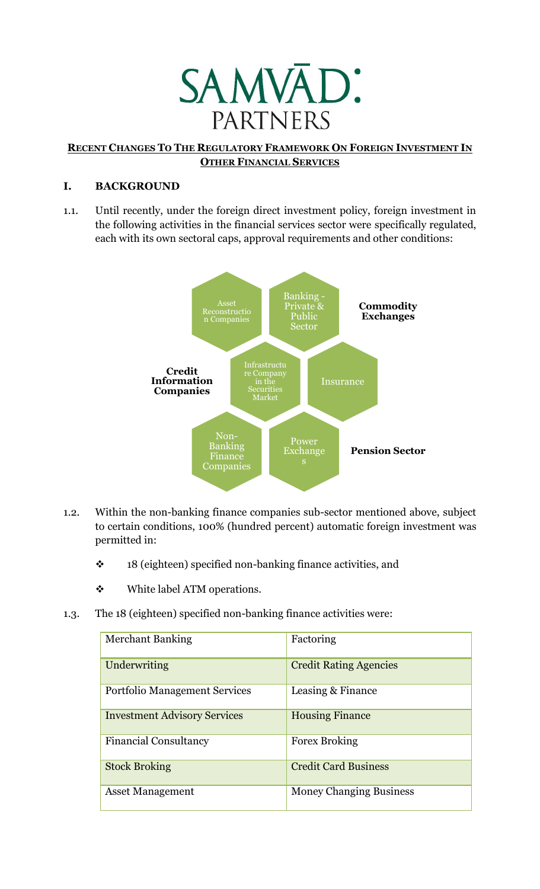

## **RECENT CHANGES TO THE REGULATORY FRAMEWORK ON FOREIGN INVESTMENT IN OTHER FINANCIAL SERVICES**

## **I. BACKGROUND**

1.1. Until recently, under the foreign direct investment policy, foreign investment in the following activities in the financial services sector were specifically regulated, each with its own sectoral caps, approval requirements and other conditions:



- 1.2. Within the non-banking finance companies sub-sector mentioned above, subject to certain conditions, 100% (hundred percent) automatic foreign investment was permitted in:
	- \* 18 (eighteen) specified non-banking finance activities, and
	- White label ATM operations.
- 1.3. The 18 (eighteen) specified non-banking finance activities were:

| <b>Merchant Banking</b>             | Factoring                      |
|-------------------------------------|--------------------------------|
| Underwriting                        | <b>Credit Rating Agencies</b>  |
| Portfolio Management Services       | Leasing & Finance              |
| <b>Investment Advisory Services</b> | <b>Housing Finance</b>         |
| <b>Financial Consultancy</b>        | <b>Forex Broking</b>           |
| <b>Stock Broking</b>                | <b>Credit Card Business</b>    |
| <b>Asset Management</b>             | <b>Money Changing Business</b> |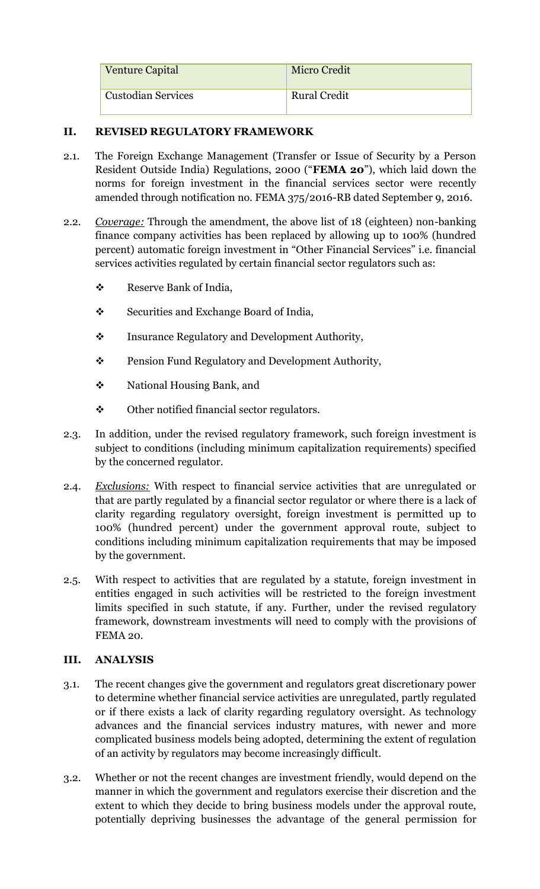| <b>Venture Capital</b>    | <b>Micro Credit</b> |
|---------------------------|---------------------|
| <b>Custodian Services</b> | <b>Rural Credit</b> |

## **II. REVISED REGULATORY FRAMEWORK**

- 2.1. The Foreign Exchange Management (Transfer or Issue of Security by a Person Resident Outside India) Regulations, 2000 ("**FEMA 20**"), which laid down the norms for foreign investment in the financial services sector were recently amended through notification no. FEMA 375/2016-RB dated September 9, 2016.
- 2.2. *Coverage:* Through the amendment, the above list of 18 (eighteen) non-banking finance company activities has been replaced by allowing up to 100% (hundred percent) automatic foreign investment in "Other Financial Services" i.e. financial services activities regulated by certain financial sector regulators such as:
	- Reserve Bank of India,
	- ❖ Securities and Exchange Board of India,
	- \* Insurance Regulatory and Development Authority,
	- **Pension Fund Regulatory and Development Authority,**
	- National Housing Bank, and
	- $\mathbf{\hat{P}}$  Other notified financial sector regulators.
- 2.3. In addition, under the revised regulatory framework, such foreign investment is subject to conditions (including minimum capitalization requirements) specified by the concerned regulator.
- 2.4. *Exclusions:* With respect to financial service activities that are unregulated or that are partly regulated by a financial sector regulator or where there is a lack of clarity regarding regulatory oversight, foreign investment is permitted up to 100% (hundred percent) under the government approval route, subject to conditions including minimum capitalization requirements that may be imposed by the government.
- 2.5. With respect to activities that are regulated by a statute, foreign investment in entities engaged in such activities will be restricted to the foreign investment limits specified in such statute, if any. Further, under the revised regulatory framework, downstream investments will need to comply with the provisions of FEMA 20.

## **III. ANALYSIS**

- 3.1. The recent changes give the government and regulators great discretionary power to determine whether financial service activities are unregulated, partly regulated or if there exists a lack of clarity regarding regulatory oversight. As technology advances and the financial services industry matures, with newer and more complicated business models being adopted, determining the extent of regulation of an activity by regulators may become increasingly difficult.
- 3.2. Whether or not the recent changes are investment friendly, would depend on the manner in which the government and regulators exercise their discretion and the extent to which they decide to bring business models under the approval route, potentially depriving businesses the advantage of the general permission for